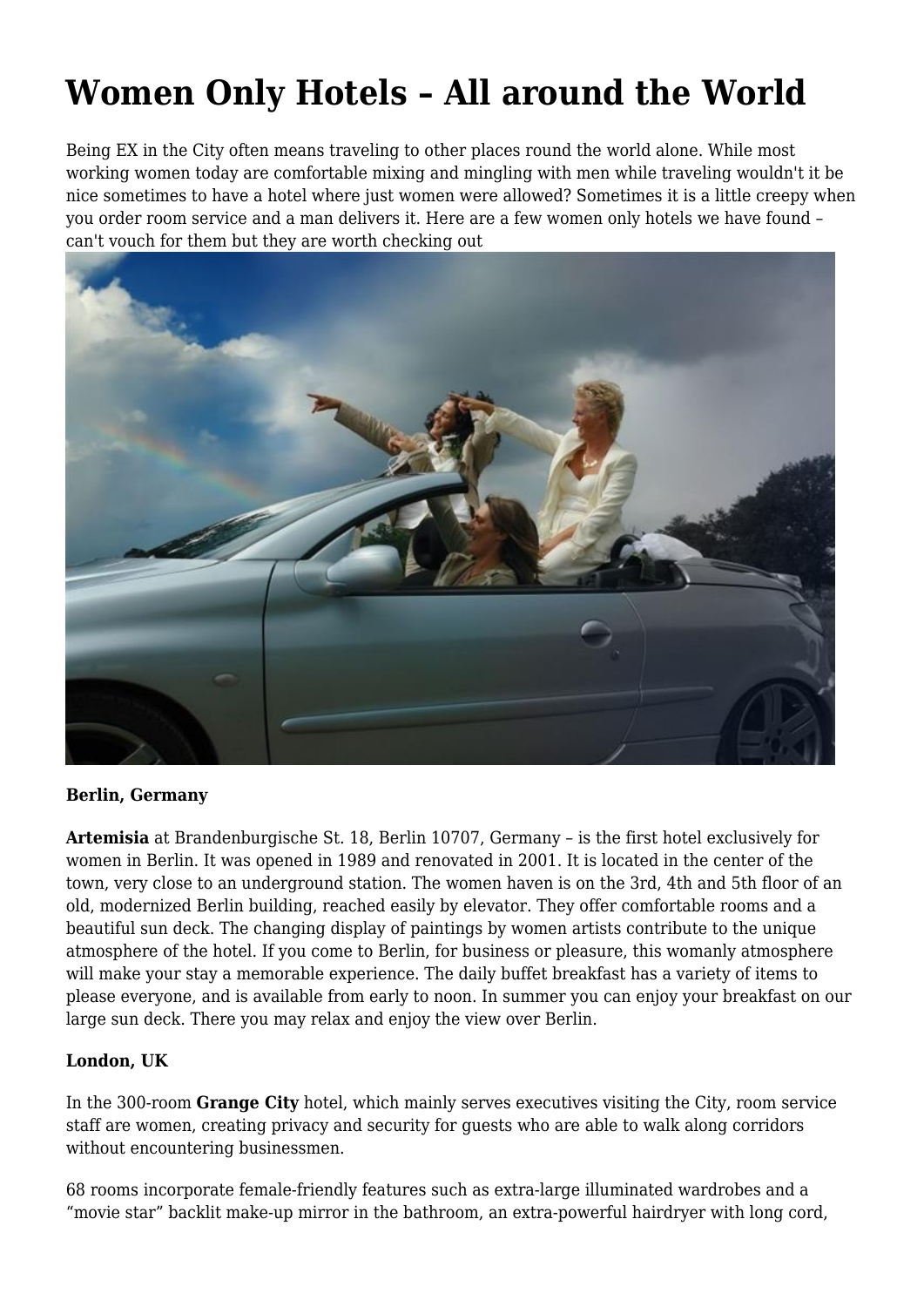# **Women Only Hotels – All around the World**

Being EX in the City often means traveling to other places round the world alone. While most working women today are comfortable mixing and mingling with men while traveling wouldn't it be nice sometimes to have a hotel where just women were allowed? Sometimes it is a little creepy when you order room service and a man delivers it. Here are a few women only hotels we have found – can't vouch for them but they are worth checking out



### **Berlin, Germany**

**Artemisia** at Brandenburgische St. 18, Berlin 10707, Germany – is the first hotel exclusively for women in Berlin. It was opened in 1989 and renovated in 2001. It is located in the center of the town, very close to an underground station. The women haven is on the 3rd, 4th and 5th floor of an old, modernized Berlin building, reached easily by elevator. They offer comfortable rooms and a beautiful sun deck. The changing display of paintings by women artists contribute to the unique atmosphere of the hotel. If you come to Berlin, for business or pleasure, this womanly atmosphere will make your stay a memorable experience. The daily buffet breakfast has a variety of items to please everyone, and is available from early to noon. In summer you can enjoy your breakfast on our large sun deck. There you may relax and enjoy the view over Berlin.

## **London, UK**

In the 300-room **Grange City** hotel, which mainly serves executives visiting the City, room service staff are women, creating privacy and security for guests who are able to walk along corridors without encountering businessmen.

68 rooms incorporate female-friendly features such as extra-large illuminated wardrobes and a "movie star" backlit make-up mirror in the bathroom, an extra-powerful hairdryer with long cord,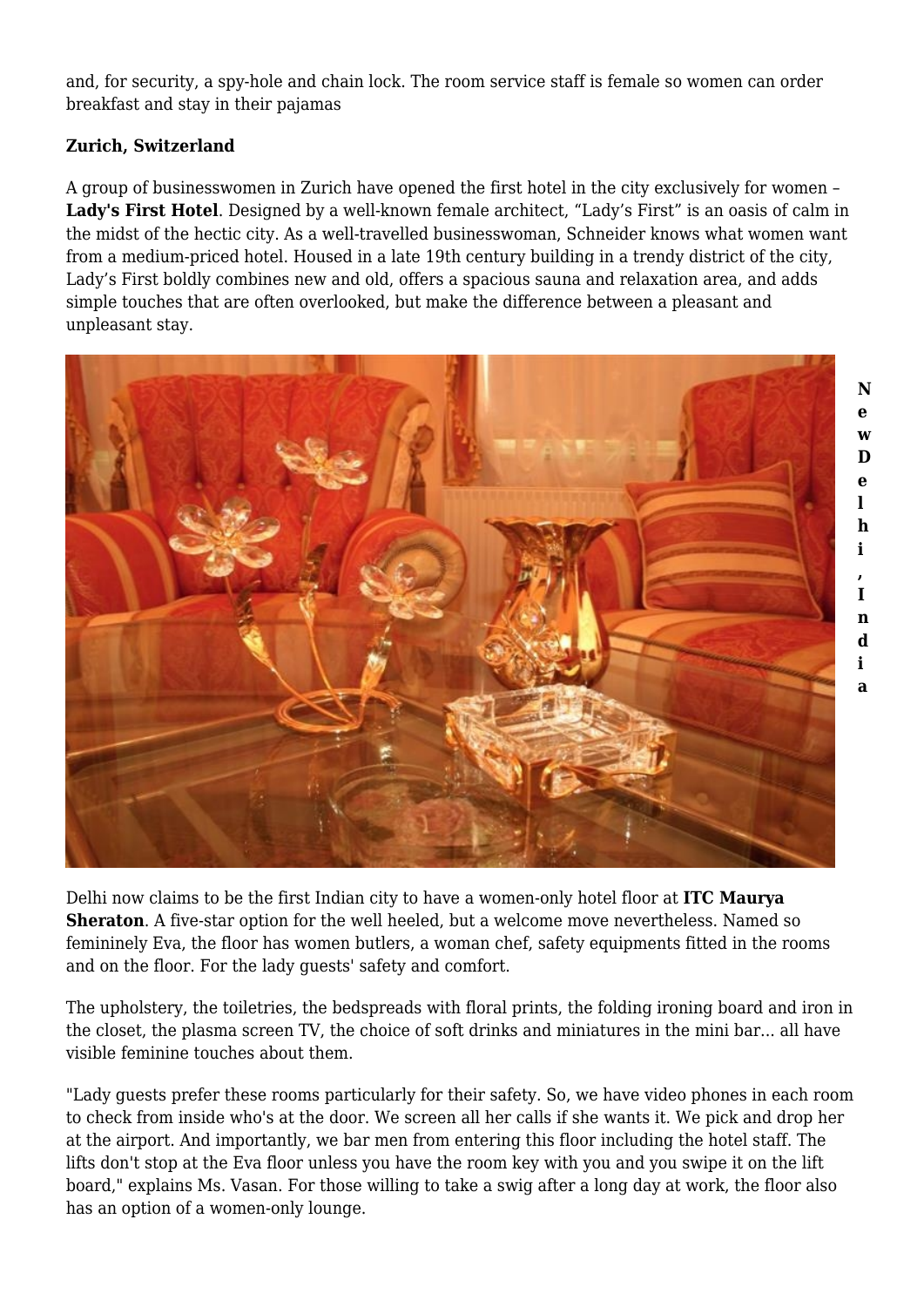and, for security, a spy-hole and chain lock. The room service staff is female so women can order breakfast and stay in their pajamas

# **Zurich, Switzerland**

A group of businesswomen in Zurich have opened the first hotel in the city exclusively for women – **Lady's First Hotel**. Designed by a well-known female architect, "Lady's First" is an oasis of calm in the midst of the hectic city. As a well-travelled businesswoman, Schneider knows what women want from a medium-priced hotel. Housed in a late 19th century building in a trendy district of the city, Lady's First boldly combines new and old, offers a spacious sauna and relaxation area, and adds simple touches that are often overlooked, but make the difference between a pleasant and unpleasant stay.

> **N e w D e l h i , I n d i a**



Delhi now claims to be the first Indian city to have a women-only hotel floor at **ITC Maurya Sheraton**. A five-star option for the well heeled, but a welcome move nevertheless. Named so femininely Eva, the floor has women butlers, a woman chef, safety equipments fitted in the rooms and on the floor. For the lady guests' safety and comfort.

The upholstery, the toiletries, the bedspreads with floral prints, the folding ironing board and iron in the closet, the plasma screen TV, the choice of soft drinks and miniatures in the mini bar... all have visible feminine touches about them.

"Lady guests prefer these rooms particularly for their safety. So, we have video phones in each room to check from inside who's at the door. We screen all her calls if she wants it. We pick and drop her at the airport. And importantly, we bar men from entering this floor including the hotel staff. The lifts don't stop at the Eva floor unless you have the room key with you and you swipe it on the lift board," explains Ms. Vasan. For those willing to take a swig after a long day at work, the floor also has an option of a women-only lounge.